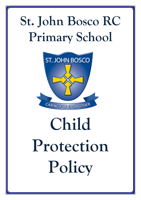# **St. John Bosco RC Primary School**



# **Child Protection Policy**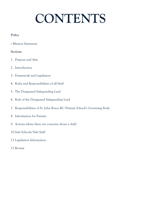# **CONTENTS**

## **Policy**

Mission Statement

### **Sections**

- 1. Purpose and Aim
- 2. Introduction
- 3. Framework and Legislation
- 4. Roles and Responsibilities of all Staff
- 5. The Designated Safeguarding Lead
- 6. Role of the Designated Safeguarding Lead
- 7. Responsibilities of St. John Bosco RC Primary School's Governing Body
- 8. Information for Parents
- 9. Actions where there are concerns about a child
- 10.Safe Schools/Safe Staff
- 11.Legislation Information
- 12.Review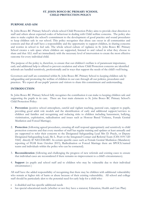#### **ST. JOHN BOSCO RC PRIMARY SCHOOL CHILD PROTECTION POLICY**

#### **PURPOSE AND AIM**

St. John Bosco RC Primary School's whole-school Child Protection Policy aims to provide clear direction to staff and others about expected codes of behaviour in dealing with Child welfare concerns. The policy also aims to make explicit the school's commitment to the development of good practice and sound procedures to keep children safe in our school. This policy recognises that abuse can occur in all communities and contexts and that all staff have a responsibility and the opportunity to support children, in sharing concerns and worries in school to feel safe. The whole school culture of vigilance in St. John Bosco RC Primary School creates a safe space where children are supported, listened to and valued in what they choose to share and that ALL staff act immediately with the necessary level of intervention to create the most effective outcome for every individual child.

The purpose of the policy is, therefore, to ensure that our children's welfare is of paramount importance, early and additional help is offered to prevent escalation and where Child Protection concerns are identified referrals are handled sensitively, professionally and in ways that support the needs of the child's well-being.

Governors and staff are committed within St. John Bosco RC Primary School to keeping children safe by safeguarding and promoting the welfare of children in our care through all our policies, procedures and practices. We expect all our pupils' parents and visitors to share this commitment and understanding.

#### **INTRODUCTION**

St. John Bosco RC Primary School fully recognises the contribution it can make to keeping children safe and supporting the pupils in its care. There are four main elements to St. John Bosco RC Primary School's Child Protection Policy:

- 1. **Prevention** (positive school atmosphere, careful and vigilant teaching, pastoral care, support to pupils, providing good adult role models and the identification of early and additional support/services to children and families and recognising and reducing risks to children including harassment, bullying, victimisation, exploitation, radicalisation and issues such as Honour Based Violence, Female Genital Mutilation and Forced Marriage).
- 2. **Protection** (following agreed procedures, ensuring all staff respond appropriately and sensitively to child protection concerns and that every member of staff has regular training and updates at least annually and are supported to refer their concerns to the Designated Safeguarding Lead Mrs D. Prayle, or Deputy Designated Safeguarding Lead, Ms L. Peart or the Integrated Contact and Referral Team (CSN 0191 520 5560) directly IF NECESSARY. In certain specific cases such as Female Genital Mutilation (Mandatory reporting of FGM from October 2015), Radicalisation or Forced Marriage there are SPOCS/named teams and individuals within the police who can be contacted).
- 3. **Reconsideration** (following and challenging the progress of new referrals and existing cases to ensure that individual cases are reconsidered if there remains no improvement to a child's circumstances).
- 4. **Support** (to pupils and school staff and to children who may be vulnerable due to their individual circumstances )

All staff have the added responsibility of recognising that there may be children with additional vulnerability who remain at higher risk of harm or abuse because of their existing vulnerability. All school and college staff should be particularly alert to the potential need for early help for a child who:

- is disabled and has specific additional needs
- has special educational needs (whether or not they have a statutory Education, Health and Care Plan)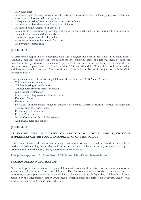- is a young carer
- is showing signs of being drawn in to anti-social or criminal behaviour, including gang involvement and association with organised crime groups
- is frequently missing/goes missing from care or from home
- is at risk of modern slavery, trafficking or exploitation
- is at risk of being radicalised or exploited
- is in a family circumstance presenting challenges for the child, such as drug and alcohol misuse, adult mental health issues and domestic abuse
- is misusing drugs or alcohol themselves
- has returned home to their family from care
- is a privately fostered child

#### **(KCSIE 2018)**

All staff have a responsibility to recognise child abuse, neglect and peer on peer abuse in its many forms. Additional guidance on how our school supports the following areas of additional need or harm are provided in the hyperlinked documents in Appendix 1 of this Child Protection Policy and includes the full list taken from Keeping Children Safe in Education 2018 pages 87 and 88. Where the school has created an additional school policy because of any specific area of need this is to be read in conjunction with this Child Protection Policy.

Broadly the areas taken from Keeping Children Safe in Education, 2018 Annex A, include

- Children in the court system
- Children missing from education
- Children with family members in prison
- Child Sexual Exploitation
- Child Criminal Exploitation County Lines
- Domestic Abuse
- Homelessness
- So called 'Honour Based Violence' inclusive of Female Genital Mutilation, Forced Marriage and practises such as Breast Ironing.
- Preventing Radicalisation
- Peer on Peer Abuse
- Sexual Violence and Sexual Harassment
- Additional advice and support

#### **(KCSIE 2018)**

#### **AS STATED THE FULL LIST OF ADDITIONAL ADVICE AND SUPPORTIVE HYPERLINKS CAN BE FOUND IN APPENDIX 1 OF THIS POLICY**

In the event of any of the above issues being recognised, information should be shared directly with the Designated Safeguarding Leads which will result in the situation being recorded, evaluated and support offered in school or the pupil/s being referred to specific services.

#### **This policy applies to St. John Bosco RC Primary School's whole workforce.**

#### **FRAMEWORK AND LEGISLATION**

No school operates in isolation. Keeping children safe from significant harm is the responsibility of all adults especially those working with children. The development of appropriate procedures and the monitoring of good practice are the responsibilities of Sunderland Local Safeguarding Children Board (to be replaced by the Safeguarding Partner arrangements) which includes the partnership of several agencies who work with Children and families across the City.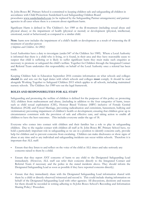St. John Bosco RC Primary School is committed to keeping children safe and safeguarding all children in accordance with Child Protection: Sunderland Local Safeguarding Children Board procedures [www.sunderlandscb.com](http://www.sunderlandscb.com/) (to be replaced by the Safeguarding Partner arrangements) and partner agencies in all cases where there is a concern about significant harm.

Significant Harm is defined in The Children's Act 1989 as the ill-treatment (including sexual abuse and physical abuse) or the impairment of health (physical or mental) or development (physical, intellectual, emotional, social or behavioural) as compared to a similar child.

**Note**: harm now includes the impairment of a child's health or development as a result of witnessing the ill treatment of another person *(Adoption and Children Act 2002)*

Local Authorities have a duty to investigate (under S47 of the Children Act 1989). Where a Local Authority is informed that there is a child who is living, or is found, in their area and they have reasonable cause to suspect that child is suffering or is likely to suffer significant harm they must make such enquiries as necessary to promote or safeguard the child's welfare. Together for Children through the Integrated Contact and Referral Team undertakes this responsibility on behalf of the Local Authority once a referral has been made.

Keeping Children Safe in Education September 2016 contains information on what schools and colleges **should** do and sets out the legal duties with which schools and colleges **must** comply. It should be read alongside Working Together to Safeguard Children 2015 which applies to all schools, including maintained nursery schools. The Children Act 1989 sets out the legal framework.

#### **ROLES AND RESPONSIBILITIES FOR ALL STAFF**

Safeguarding and promoting the welfare of children is defined for the purposes of this policy as: protecting ALL children from maltreatment and abuse; (including in addition to the four categories of harm, issues such as child sexual exploitation (CSE), Honour Based Violence (HBV) inclusive of Female Genital Mutilation (FGM) and Forced Marriage, preventing radicalisation and extremism, harassment, bullying and victimisation) preventing impairment of children's health or development; ensuring that children grow up in circumstances consistent with the provision of safe and effective care; and taking action to enable all children to have the best outcomes. This includes everyone under the age of 18.

Everyone who comes into contact with children and their families has a role to play in safeguarding children. Due to the regular contact with children all staff at St. John Bosco RC Primary School have, we hold a particularly important role in safeguarding as we are in a position to identify concerns early, provide help for children and to prevent concerns from escalating. Children can make disclosures or show signs of abuse at any time and to any individual and safeguarding incidents can occur within schools. Therefore it is important that ALL staff:

- Ensure that they listen to and reflect on the voice of the child at ALL times and take seriously any concerns raised to them by a child.
- Ensure that they report ANY concerns of harm to any child to the Designated Safeguarding Lead immediately. (However, ALL staff can refer their concerns directly to the Integrated Contact and Referral Team if necessary and the police in the stated incidents above. They should inform the Designated Safeguarding Lead as soon as possible if they have reported concerns directly).
- Ensure that they immediately share with the Designated Safeguarding Lead information shared with them by a child or directly observed/witnessed and record it. This could include sharing information on behalf of the Designated Safeguarding Lead with other agencies. All discussions, decisions and reasons for them should be recorded in writing adhering to St.John Bosco School's Recording and Information Sharing Policy/ Procedure.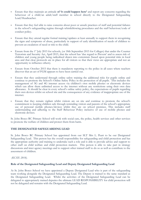- Ensure that they maintain an attitude **of 'it could happen here'** and report any concerns regarding the behaviour of a child/an adult/staff member in school directly to the Designated Safeguarding Lead/Headteacher.
- Ensure that they feel able to raise concerns about poor or unsafe practices of staff and potential failures in the school's safeguarding regime through whistleblowing procedures and the staff behaviour/code of conduct policy.
- Ensure that they attend regular formal training/updates at least annually to support them in recognising the signs and symptoms of abuse, particularly in support of early identification of needs of children to prevent an escalation of need or risk to the child.
- Ensure from the 1<sup>st</sup> July 2015 for schools, (or 18th September 2015 for Colleges) that under the Counter Terrorism and Security Act, April 2015, that the school has 'due regard to Prevent' and to assess risk of children and young people being radicalised drawn into extremism (based upon potential risks in local area and that clear protocols are in place for all visitors so that their views are appropriate and not an opportunity to influence others).
- Ensure from October 2015 that there is mandatory reporting to the police in all cases where teachers discover that an act of FGM appears to have been carried out.
- Ensure that they understand through online safety training the additional risks for pupils online and continue to promote the School's Online Safety Policy in the protection of all pupils. This includes the management of 3G and 4G internet access via children's own mobile phones or electronic devices which can allow them unlimited access to the internet without any restrictions using their own data allowance. It should be clear in every school's online safety policy, the expectations of pupils regarding their own devices whilst on school site and the consequences of any evidence of inappropriate use of the internet.
- Ensure that they remain vigilant whilst visitors are on site and continue to promote the school's commitment to keeping children safe through reminding visitors and parents of the school's appropriate use of personal mobile phones/devices whilst they are on school premises. This includes staff understanding and adhering to the Staff Behaviour Policy inclusive of use of mobile phones and electronic devices.

St. John Bosco RC Primary School will work with social care, the police, health services and other services to promote the welfare of children and protect them from harm.

#### **THE DESIGNATED SAFEGUARDING LEAD**

St. John Bosco RC Primary School has appointed from our SLT Mrs L. Peart to be our Designated Safeguarding Lead. This person has the overall responsibility for safeguarding and child protection and has the appropriate authority and training to undertake such a role and is able to provide advice and support to other staff on child welfare and child protection matters. This person is able to take part in strategy discussions and inter agency meetings and to support other trained staff to do so as well as contribute to the assessment of children.

*(KCSIE 2018).*

#### **Role of the Designated Safeguarding Lead and Deputy Designated Safeguarding Lead**

At St. John Bosco School we have appointed a Deputy Designated Lead who is part of the safeguarding team working alongside the Designated Safeguarding Lead. The Deputy is trained to the same standard as the Designated Safeguarding Lead. Whilst the activities of the Designated Safeguarding Lead can be delegated to appropriately trained deputies the ultimate LEAD RESPONSIBILITY for child protection will not be delegated and remains with the Designated Safeguarding Lead.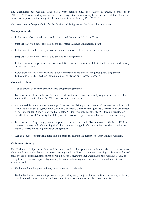The Designated Safeguarding Lead has a very detailed role, (see below). However, if there is an IMMEDIATE safeguarding concern and the Designated Safeguarding Leads are unavailable please seek immediate support via the Integrated Contact and Referral Team (0191 561 7007).

The broad areas of responsibility for the Designated Safeguarding Leads are identified here:

#### **Manage referrals**

- Refer cases of suspected abuse to the Integrated Contact and Referral Team.
- Support staff who make referrals to the Integrated Contact and Referral Team.
- Refer cases to the Channel programme where there is a radicalisation concern as required.
- Support staff who make referrals to the Channel programme.
- Refer cases where a person is dismissed or left due to risk/harm to a child to the Disclosure and Barring Service as required.
- Refer cases where a crime may have been committed to the Police as required (including Sexual Exploitation (MSET lead) or Female Genital Mutilation and Forced Marriage).

#### **Work with others**

- Act as a point of contact with the three safeguarding partners.
- Liaise with the Headteacher or Principal to inform them of issues, especially ongoing enquiries under section 47 of the Children Act 1989 and police investigations.
- As required liaise with the case manager (Headteacher, Principal, or where the Headteacher or Principal is the subject of the allegations the Chair of Governors, Chair of Management Committee or Proprietor of an Independent School) and the Designated Officer through Together for Children, operating on behalf of the Local Authority for child protection concerns (all cases which concern a staff member).
- Liaise with staff (especially pastoral support staff, school nurses, IT Technicians and the SENDCO on matters of safety and safeguarding (including online and digital safety) and when deciding whether to make a referral by liaising with relevant agencies.
- Act as a source of support, advice and expertise for all staff on matters of safety and safeguarding.

#### **Undertake Training**

The Designated Safeguarding Lead and Deputy should receive appropriate training updated every two years. They should undertake Prevent awareness raising and in addition to the formal training, their knowledge and skills should be refreshed (this might be via e-bulletins, meeting other Designated Safeguarding Leads, or taking time to read and digest safeguarding developments) at regular intervals, as required, and at least annually, so they:

- Understand and keep up with any developments to their role
- Understand the assessment process for providing early help and intervention, for example through locally agreed common and shared assessment processes such as early help assessments.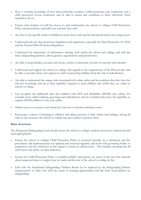- Have a working knowledge of how local authorities conduct a child protection case conference and a child protection review conference and be able to attend and contribute to these effectively when required to do so.
- Ensure each member of staff has access to, and understands, the school or colleges Child Protection Policy and procedures, especially new and part time staff.
- Are alert to the specific needs of children in need, those with special educational needs and young carers.
- Understand relevant data protection legislation and regulations, especially the Data Protection Act 2018 and the General Data Protection Regulation.
- Understand the importance of information sharing, both within the school and college, and with the three safeguarding partners, other agencies, organisations and practitioners.
- Are able to keep detailed, accurate and secure, written or electronic records of concerns and referrals.
- Understand and support the school or college with regards to the requirements of the Prevent duty and be able to provide advice and support to staff on protecting children from the risk of radicalisation.
- Are able to understand the unique risks associated with online safety and be confident that they have the relevant knowledge and up to date capability required to keep children safe whilst they are online at school or college.
- Can recognise the additional risks that children with SEN and disabilities (SEND) face online, for example, from online bullying, grooming and radicalisation and are confident they have the capability to support SEND children to stay safe online.
- Obtain access to resources and attend any relevant or refresher training courses.
- Encourage a culture of listening to children and taking account of their wishes and feelings, among all staff, in any measures the school or college may put in place to protect them.

#### **Raise Awareness**

The Designated Safeguarding Lead should ensure the school or college's policies are known understood and used appropriately:

- Ensure the school or colleges Child Protection Policy is reviewed annually (as a minimum) and the procedures and implementation are updated and reviewed regularly, and work with governing bodies or proprietors and the workforce in this regard to ensure its effectiveness. This includes ensuring that all staff receive the policy on their induction.
- Ensure the Child Protection Policy is available publicly and parents are aware of the fact that referrals about suspected abuse or neglect may be made and the role of the school or college in this.
- Link with the Sunderland Safeguarding Children Board (to be replaced by the Safeguarding Partner arrangements) to make sure staff are aware of training opportunities and the latest local policies on safeguarding.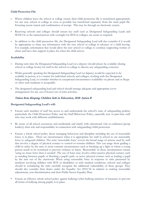#### **Child Protection File**

- Where children leave the school or college ensure their child protection file is transferred appropriately for any new school or college as soon as possible but transferred separately from the main pupil file. Ensuring secure transit and confirmation of receipt. This may be through an electronic system.
- Receiving schools and colleges should ensure key staff such as Designated Safeguarding Leads and SENCOs or the named person with oversight for SEN in colleges, are aware as required.
- In addition to the child protection file, the Designated Safeguarding Lead will also consider if it would be appropriate to share any information with the new school or college in advance of a child leaving. For example, information that would allow the new school or college to continue supporting victims of abuse and have that support in place for when the child arrives.

#### **Availability**

- During term time the Designated Safeguarding Lead (or a deputy) should always be available (during school or college hours) for staff in the school or college to discuss any safeguarding concerns.
- Whilst generally speaking the Designated Safeguarding Lead (or deputy) would be expected to be available in person, it is a matter for individual schools and colleges, working with the Designated Safeguarding Lead, to consider whether in exceptional circumstances availability via phone and or Skype or other such mediums is acceptable.
- The designated safeguarding lead and school should arrange adequate and appropriate cover arrangements for any out of hours/out of term activities.

#### Taken from Keeping Children Safe in Education, 2018: Annex B

#### **Designated Safeguarding Lead's will:**

- Ensure each member of staff has access to and understands the school's suite of safeguarding policies particularly the Child Protection Policy and the Staff Behaviour Policy, especially new or part-time staff who may work with different establishments.
- Be aware of all school excursions and residentials and clarify with educational visit co-ordinator/group leader(s) their role and responsibility in connection with safeguarding/child protection.
- Ensure a whole school policy about managing behaviour and discipline including the use of reasonable force, is in place. There are circumstances when it is appropriate for staff in school to use reasonable force to safeguard children. The term 'reasonable force' covers the broad range of actions used by staff that involve a degree of physical contact to control or restrain children. This can range from guiding a child to safety by the arm, to more extreme circumstances such as breaking up a fight or where a young person needs to be restrained to prevent violence or injury. 'Reasonable' in these circumstances means 'using no more force than is needed'. The use of force may involve either passive physical contact, such as standing between pupils or blocking a pupil's path, or active physical contact such as leading a pupil by the arm out of the classroom. When using reasonable force in response to risks presented by incidents involving children with SEN or disabilities or with medical conditions, schools and colleges should in considering the risks carefully recognise the additional vulnerability of these groups. They should also consider their duties under the Equality Act 2010/36 in relation to making reasonable adjustments, non-discrimination and their Public Sector Equality Duty.
- Ensure an effective whole school policy against bullying/cyber-bullying inclusive of measures to prevent all forms of bullying among pupils, is in place.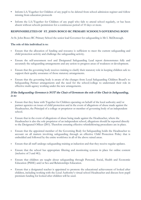- Inform LA/Together for Children of any pupil to be deleted from school admission register and follow missing from education protocols
- Inform the LA/Together for Children of any pupil who fails to attend school regularly, or has been absent without schools permission for a continuous period of 10 days or more.

#### **RESPONSIBILITIES OF ST. JOHN BOSCO RC PRIMARY SCHOOL'S GOVERNING BODY**

At St. John Bosco RC Primary School the senior lead Governor for safeguarding is Mr I. McDonough.

#### **The role of this individual is to:**

- Ensure that the allocation of funding and resource is sufficient to meet the current safeguarding and child protection activity and challenge the safeguarding activity.
- Ensure the self-assessment tool and Designated Safeguarding Lead report demonstrates fully and accurately the safeguarding arrangements and any action to progress areas of weakness or development.
- Ensure that the governing body receives training to clarify their statutory role in keeping children safe to support their quality assurance of those statutory arrangements.
- Ensure that the governing body is aware of the changes from Local Safeguarding Children Board's to Safeguarding Partner arrangements and the need for the school/college to understand their role in effective multi-agency working under the new arrangements.

#### If the Safeguarding Governor is NOT the Chair of Governors the role of the Chair in Safeguarding, is to:

- Ensure that they liaise with Together for Children operating on behalf of the local authority and/or partner agencies on issues of child protection and in the event of allegations of abuse made against the Headteacher, the Principal of a college or proprietor or member of governing body of an independent school.
- Ensure that in the event of allegations of abuse being made against the Headteacher, where the Headteacher is also the sole proprietor of an independent school, allegations should be reported directly to the Designated Officer (DO). Therefore ensuring effective whistleblowing procedures are in place.
- Ensure that the appointed member of the Governing Body for Safeguarding holds the Headteacher to account on all matters involving safeguarding through an effective Child Protection Policy that is embedded and followed by the entire workforce in all of the above raised areas.
- Ensure that all staff undergo safeguarding training at induction and that they receive regular updates.
- Ensure that the school has appropriate filtering and monitoring systems in place for online content (inclusive of 3 and 4G).
- Ensure that children are taught about safeguarding through Personal, Social, Health and Economic Education (PSHE) and/or Sex and Relationships Education.
- Ensure that a designated teacher is appointed to promote the educational achievement of looked after children, including working with the Local Authority's virtual school Headteacher and discuss how pupil premium funding for looked after children will be used.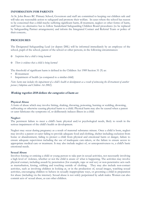#### **INFORMATION FOR PARENTS**

At St. John Bosco RC Primary School, Governors and staff are committed to keeping our children safe and will take any reasonable action to safeguard and promote their welfare. In cases where the school has reason to be concerned that a child maybe suffering significant harm, ill treatment, neglect or other forms of harm, staff have no alternative but to follow Sunderland Safeguarding Children Board procedures (to be replaced by Safeguarding Partner arrangements) and inform the Integrated Contact and Referral Team or police of their concern..

#### **PROCEDURES**

The Designated Safeguarding Lead (or deputy DSL) will be informed immediately by an employee of the school, pupil of the school, parent of the school or other persons, in the following circumstances:

- o *Suspicion that a child is being harmed*
- o *There is evidence that a child is being harmed*

The threshold of significant harm is defined in the Children Act 1989 Section 31 (9) as:

- Ill-treatment
- Impairment of health (as compared to a similar child)

*Note: harm now includes the impairment of a child's health or development as a result of witnessing the ill-treatment of another person (Adoption and Children Act 2002).* 

#### Working together 2018 defines the categories of harm as:

#### **Physical Abuse**

A form of abuse which may involve hitting, shaking, throwing, poisoning, burning or scalding, drowning, suffocating or otherwise causing physical harm to a child. Physical harm may also be caused when a parent or carer fabricates the symptoms of, or deliberately induces illness in a child.

#### **Neglect**

The persistent failure to meet a child's basic physical and/or psychological needs, likely to result in the serious impairment of the child's health or development.

Neglect may occur during pregnancy as a result of maternal substance misuse. Once a child is born, neglect may involve a parent or carer failing to provide adequate food and clothing, shelter including exclusion from home or abandonment, failing to protect a child from physical and emotional harm or danger, failure to ensure adequate supervision including the use of inadequate care-takers, or the failure to ensure access to appropriate medical care or treatment. It may also include neglect of, or unresponsiveness to, a child's basic emotional needs.

#### **Sexual Abuse**

Involves forcing or enticing a child or young person to take part in sexual activities, not necessarily involving a high level of violence, whether or not the child is aware of what is happening. The activities may involve physical contact, including assault by penetration (for example, rape or oral sex) or non-penetrative acts such as masturbation, kissing, rubbing and touching outside of clothing. They may also include non-contact activities, such as involving children in looking at, or in the production of, sexual images, watching sexual activities, encouraging children to behave in sexually inappropriate ways, or grooming a child in preparation for abuse (including via the internet). Sexual abuse is not solely perpetrated by adult males. Women can also commit acts of sexual abuse, as can other children.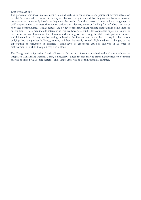#### **Emotional Abuse**

The persistent emotional maltreatment of a child such as to cause severe and persistent adverse effects on the child's emotional development. It may involve conveying to a child that they are worthless or unloved, inadequate, or valued only insofar as they meet the needs of another person. It may include not giving the child opportunities to express their views, deliberately silencing them or 'making fun' of what they say or how they communicate. It may feature age or developmentally inappropriate expectations being imposed on children. These may include interactions that are beyond a child's developmental capability, as well as overprotection and limitation of exploration and learning, or preventing the child participating in normal social interaction. It may involve seeing or hearing the ill-treatment of another. It may involve serious bullying (including cyber bullying), causing children frequently to feel frightened or in danger, or the exploitation or corruption of children. Some level of emotional abuse is involved in all types of maltreatment of a child though it may occur alone.

The Designated Safeguarding Lead will keep a full record of concerns raised and make referrals to the Integrated Contact and Referral Team, if necessary. These records may be either handwritten or electronic but will be stored via a secure system. The Headteacher will be kept informed at all times.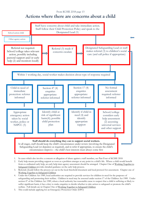#### From KCSIE 2018 page 13

## **Actions where there are concerns about a child**



- 1. In cases which also involve a concern or allegation of abuse against a staff member, see Part Four of KCSIE 2018
- 2. Early help means providing support as soon as a problem emerges at any point in a child's life. Where a child would benefit from co-ordinated early help, an early help inter-agency assessment should be arranged. Chapter One of [Working Together to](https://www.gov.uk/government/publications/working-together-to-safeguard-children--2)  [Safeguard Children](https://www.gov.uk/government/publications/working-together-to-safeguard-children--2) provides detailed guidance on the early help process.
- 3. Referrals should follow the process set out in the local threshold document and local protocol for assessment. Chapter one of [Working Together to Safeguard Children](https://www.gov.uk/government/publications/working-together-to-safeguard-children--2)
- 4. Under the Children Act 1989, local authorities are required to provide services for children in need for the purposes of safeguarding and promoting their welfare. Children in need may be assessed under section 17 of the Children Act 1989. Under section 47 of the Children Act 1989, where a local authority has reasonable cause to suspect that a child is suffering or likely to suffer significant harm, it has a duty to make enquiries to decide whether to take action to safeguard or promote the child's welfare. Full details are in Chapter One of [Working Together to Safeguard Children](https://www.gov.uk/government/publications/working-together-to-safeguard-children--2)
- 5. This could include applying for an Emergency Protection Order (EPO)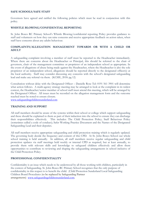#### **SAFE SCHOOLS/SAFE STAFF**

Governors have agreed and ratified the following policies which must be read in conjunction with this policy.

#### **WHISTLE BLOWING/CONFIDENTIAL REPORTING**

St. John Bosco RC Primary School's Whistle Blowing/confidential reporting Policy provides guidance to staff and volunteers on how they can raise concerns and receive appropriate feedback on action taken, when staff have concerns about any adults behaviour.

#### **COMPLAINTS/ALLEGATION MANAGEMENT TOWARDS OR WITH A CHILD OR ADULT**

A safeguarding complaint involving a member of staff must be reported to the Headteacher immediately. Where there are concerns about the Headteacher or Principal, this should be referred to the chair of governors, chair of the management committee or proprietor of an independent school as appropriate. In the event of allegations of abuse being made against the Headteacher, where the Headteacher is also the sole proprietor of an independent school, allegations should be reported directly to the designated officer(s) at the local authority. Staff may consider discussing any concerns with the school's designated safeguarding lead and make any referral via them. (KCSIE, 2018: pg 12)

Consultation without delay with the Designated Officer – Danielle Rose Tel: 0191 561 3901 will determine what action follows. A multi-agency strategy meeting may be arranged to look at the complaint in its widest context, the Headteacher/senior member of school staff must attend this meeting, which will be arranged by the Designated Officer. All issues must be recorded on the allegation management form and the outcome reached must be noted to ensure closure.

[www.safeguardingchildrensunderland.com](http://www.safeguardingchildrensunderland.com/)

#### **TRAINING AND SUPPORT**

All staff members should be aware of the systems within their school or college which support safeguarding and these should be explained to them as part of their induction into the school to ensure they can discharge their responsibilities effectively. This includes: The Child Protection Policy; Staff Behaviour Policy (sometimes called a code of conduct); Safer Working Practice Document and the Names of the Designated Safeguarding Lead and their deputies.

All staff members receive appropriate safeguarding and child protection training which is regularly updated. The governing body decide the frequency and content of this CPD. At St. John Bosco School our whole school training is held annually. In addition, all staff members receive regular safeguarding and child protection updates via staff meetings held weekly or internal CPD as required, but at least annually, to provide them with relevant skills and knowledge to safeguard children effectively and allow them opportunities to contribute to reviewing and shaping the safeguarding arrangements in school inclusive of the Child Protection Policy.

#### **PROFESSIONAL CONFIDENTIALITY**

Confidentiality is an issue which needs to be understood by all those working with children, particularly in the context of Safeguarding. St. John Bosco RC Primary School recognises that the only purpose of confidentiality in this respect is to benefit the child. (Child Protection Sunderland Local Safeguarding Children Board Procedures (to be replaced by Safeguarding Partner arrangements) [www.safeguardingchildrensunderland.com.](http://www.safeguardingchildrensunderland.com/)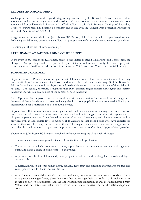#### **RECORDS AND MONITORING**

Well-kept records are essential to good Safeguarding practice. St. John Bosco RC Primary School is clear about the need to record any concerns discussions held, decisions made and reasons for those decisions about a child or children within its care. All staff will follow the schools Information Sharing and Recording Polices to ensure recording keeping is compliant and in line with the General Data Protection Regulations 2018 and Data Protection Act 2018.

Safeguarding recording within St. John Bosco RC Primary School is through a paper based system. Following a child leaving our school we follow the appropriate transfer procedures and retention guidelines.

Retention guidelines are followed accordingly.

#### **ATTENDANCE AT SAFEGUARDING CONFERENCES**

In the event of St. John Bosco RC Primary School being invited to attend Child Protection Conferences, the Designated Safeguarding Lead or Deputy will represent the school and/or identify the most appropriate trained member of staff to provide information relevant to Child Protection Conference (Initial/Review).

#### **SUPPORTING CHILDREN**

St. John Bosco RC Primary School recognises that children who are abused or who witness violence may find it difficult to develop a sense of self-worth and to view the world in a positive way. St. John Bosco RC Primary School may be the only stable, secure and predictable element in the lives of some of the children in its care. The school, therefore, recognises that such children might exhibit challenging and defiant behaviour and will take careful note of the context of such behaviour.

As an Operation Encompass partner we work closely with the Operation Encompass Lead with regards to domestic violence incidents and offer wellbeing checks to our pupils if we are contacted following an incident which has occurred in one of our pupils homes.

St. John Bosco RC Primary School also recognises that children are capable of abusing their peers. Peer on peer abuse can take many forms and any concerns raised will be investigated and dealt with appropriately. No peer on peer abuse should be tolerated or minimised as part of growing up and all those involved will be provided with an appropriate level of support. It is understood that those pupils who have experienced abuse in their own lives may in turn abuse others. This requires a considered and sensitive approach in order that the child can receive appropriate help and support. *See Peer on Peer abuse policy for detailed information.* 

Therefore St. John Bosco RC Primary School will endeavour to support all its pupils through:

- The curriculum, to encourage self-esteem, self-motivation, self- protection.
- The school ethos, which promotes a positive, supportive and secure environment and which gives all pupils and adults a sense of being respected and valued.
- Approaches which allow children and young people to develop critical thinking, literacy skills and digital literacy skills.
- A curriculum which explores human rights, equality, democracy and tolerance and prepares children and young people fully for life in modern Britain.
- A curriculum where children develop personal resilience, understand and can take appropriate risks or have personal strategies/safety plans that allow them to manage their own safety. This includes topics covered as part of Relationships and Sex and Relationships Education as well as Fundamental British Values and the SMSC Curriculum which cover harm, abuse, positive and healthy relationships and crime.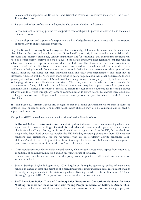- A coherent management of Behaviour and Discipline Policy & Procedures inclusive of the Use of Reasonable Force.
- Liaison with other professionals and agencies who support children and parents.
- A commitment to develop productive, supportive relationships with parents whenever it is in the child's interest to do so.
- The development and support of a responsive and knowledgeable staff group whose role it is to respond appropriately in all safeguarding situations.

St. John Bosco RC Primary School recognises that, statistically, children with behavioural difficulties and disabilities are the most vulnerable to abuse. School staff who work, in any capacity, with children with profound and multiple disabilities, sensory impairment and/or emotional and behavioural problems will need to be particularly sensitive to signs of abuse. School staff must give consideration to children who are subject to a statement of special needs, an Education Health and Care Plan or have a medical condition, as these can mask safeguarding issues and may often be attributed to the medical condition rather than that a child may be being harmed. Concerns such as changes in behaviour and presentation (both physical and mental) must be considered for each individual child and their own circumstances and must not be dismissed. Children with SEN are often more prone to peer group isolation than other children and there is greater potential for children with SEN and disabilities being disproportionally impacted by behaviours such as bullying, without outwardly showing any signs. Therefore, time must be taken to ensure that the full circumstances of any child who has additional needs and requires support around language and communication is shared at the point of referral to ensure the best possible outcome for the child is always achieved and their voice through any form of communication is always heard. To address these additional challenges, schools and colleges should consider extra pastoral support for children with SEN and disabilities.

St. John Bosco RC Primary School also recognises that in a home environment where there is domestic violence, drug or alcohol misuse or mental health issues children may also be vulnerable and in need of support and protection.

This policy MUST be read in conjunction with other related policies in school.

- **A Robust School Recruitment and Selection policy**-inclusive of safer recruitment guidance and regulation, for example a S**ingle Central Record** which demonstrates the pre-employment vetting checks for all staff (e.g. identity, professional qualifications, right to work in the UK, further checks on people who have lived or worked outside the UK including recording checks for those EEA teacher sanctions and restrictions), for the workforce who are in regulatory activity (enhanced DBS, children's/adult barred list, prohibition from teaching check, section 128 check for management positions) and supervision of those who don't meet this requirement.
- Clear recruitment procedures which embed keeping children safe across every aspect from vacancy to conditional appointments, induction and an on-going culture of vigilance.
- Trained panel members who ensure that the policy works in practice in all recruitment and selection within the school.
- School Staffing (England) Regulations 2009, Regulation 9: require governing bodies of maintained schools to ensure at least one member of a recruitment panel must undertake safer recruitment training to satisfy all requirements in the statutory guidance Keeping Children Safe in Education 2018 and Working Together 2018. At St. John Bosco School we share this commitment.
- **Staff Behaviour Policy (Code of Conduct) Safer Recruitment Consortium Guidance for Safer Working Practices for those working with Young People in Education Settings, October 2015**. The school will ensure that all staff and volunteers are aware of the need for maintaining appropriate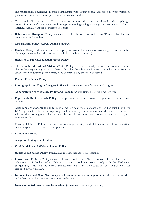and professional boundaries in their relationships with young people and agree to work within all policies and procedures to safeguard both children and adults.

- The school will ensure that staff and volunteers are aware that sexual relationships with pupils aged under 18 are unlawful and could result in legal proceedings being taken against them under the Sexual Offences Act 2003 (Abuse of Position of Trust).
- **Behaviour & Discipline Policy** inclusive of the Use of Reasonable Force/Positive Handling and confiscating and searching.
- **Anti-Bullying Policy/Cyber/Online Bullying.**
- **On-Line Safety Policy -** inclusive of appropriate usage documentation (covering the use of mobile phones, cameras and all other technology within the school or setting)
- **Inclusion & Special Education Needs Policy.**
- **The Schools Educational Visits/Off Site Policy** (reviewed annually) reflects the consideration we give to the safeguarding of our children both within the school environment and when away from the school when undertaking school trips, visits or pupils being creatively educated.
- **Peer on Peer Abuse Policy**

.

- **Photographic and Digital Imagery Policy** with parental consent forms annually signed.
- **Administration of Medicines Policy and Procedures** with trained staff who manage this.
- **Pupils with Medical Needs Policy** and implications for your workforce, pupils and partnership with parents.
- **Attendance Management policy** school management for attendance and the partnership with the LA/ Together for Children in reporting children missing from education and those deleted from the schools admission register. This includes the need for two emergency contact details for every pupil, where possible.
- **Missing Children Policy** inclusive of runaways, missing, and children missing from education, ensuring appropriate safeguarding responses.
- **Complaints Policy**
- **Allegation Management Policy**
- **Confidentiality and Whistle blowing Policy.**
- **Information Sharing Policy** (internal and external exchange of information)
- **Looked after Children Policy** inclusive of named Looked After Teacher whose role is to champion the achievement of Looked After Children in your school and work closely with the Designated Safeguarding Lead and the Virtual Headteacher within the LA/Together for Children who has responsibility for the LAC.
- **Intimate Care and Care Plan Policy** inclusive of procedure to support pupils who have an accident and either wet, soil or menstruate and need assistance.
- **Unaccompanied travel to and from school procedure** to ensure pupils safety.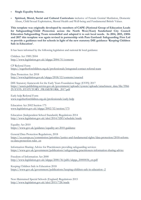- **Single Equality Scheme.**
- **Spiritual, Moral, Social and Cultural Curriculum** inclusive of Female Genital Mutilation, Domestic Abuse, Child Sexual Exploitation, Mental Health and Well-being and Fundamental British Values.

**This template was originally developed by members of CAPE (National Group of Education Leads for Safeguarding/Child Protection across the North West/East) Sunderland City Council Education Safeguarding Team remodelled and adapted it to suit local needs. In 2014, 2015, 23016 and 2017 this template was again revised in partnership with Pam Gartland: Safeguarding First Ltd to provide a guidance tool for schools in light of the new statutory DfE guidance 'Keeping Children Safe in Education'.** 

It has been informed by the following legislation and national & local guidance:

Children Act 1989/2004 <http://www.legislation.gov.uk/ukpga/2004/31/contents>

CP Referral Form <https://togetherforchildren.org.uk/professionals/integrated-contact-referral-team>

Data Protection Act 2018 <http://www.legislation.gov.uk/ukpga/2018/12/contents/enacted>

DfE Statutory framework for the Early Years Foundation Stage (EYFS) 2017 [https://assets.publishing.service.gov.uk/government/uploads/system/uploads/attachment\\_data/file/5966](https://assets.publishing.service.gov.uk/government/uploads/system/uploads/attachment_data/file/596629/EYFS_STATUTORY_FRAMEWORK_2017.pdf) [29/EYFS\\_STATUTORY\\_FRAMEWORK\\_2017.pdf](https://assets.publishing.service.gov.uk/government/uploads/system/uploads/attachment_data/file/596629/EYFS_STATUTORY_FRAMEWORK_2017.pdf)

Early help Referral Form [www.togetherforchildren.org.uk/professionals/early-help](http://www.togetherforchildren.org.uk/professionals/early-help) 

Education Act 2002 Section 175 [www.legislation.gov.uk/ukpga/2002/32/section/175](http://www.legislation.gov.uk/ukpga/2002/32/section/175)

Education (Independent School Standards) Regulations 2014 <http://www.legislation.gov.uk/uksi/2014/3283/schedule/made>

Equality Act 2010 <https://www.gov.uk/guidance/equality-act-2010-guidance>

General Data Protection Regulations, 2018 [https://ec.europa.eu/commission/priorities/justice-and-fundamental-rights/data-protection/2018-reform](https://ec.europa.eu/commission/priorities/justice-and-fundamental-rights/data-protection/2018-reform-eu-data-protection-rules_en)[eu-data-protection-rules\\_en](https://ec.europa.eu/commission/priorities/justice-and-fundamental-rights/data-protection/2018-reform-eu-data-protection-rules_en)

Information Sharing: Advice for Practitioners providing safeguarding services <https://www.gov.uk/government/publications/safeguarding-practitioners-information-sharing-advice>

Freedom of Information Act 2000 [http://www.legislation.gov.uk/ukpga/2000/36/pdfs/ukpga\\_20000036\\_en.pdf](http://www.legislation.gov.uk/ukpga/2000/36/pdfs/ukpga_20000036_en.pdf)

Keeping Children Safe in Education 2018 <https://www.gov.uk/government/publications/keeping-children-safe-in-education--2>

Non-Maintained Special Schools (England) Regulations 2015 <http://www.legislation.gov.uk/uksi/2015/728/made>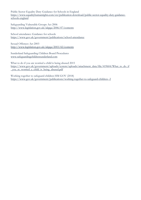Public Sector Equality Duty Guidance for Schools in England [https://www.equalityhumanrights.com/en/publication-download/public-sector-equality-duty-guidance](https://www.equalityhumanrights.com/en/publication-download/public-sector-equality-duty-guidance-schools-england)[schools-england](https://www.equalityhumanrights.com/en/publication-download/public-sector-equality-duty-guidance-schools-england)

Safeguarding Vulnerable Groups Act 2006 <http://www.legislation.gov.uk/ukpga/2006/47/contents>

School attendance: Guidance for schools <https://www.gov.uk/government/publications/school-attendance>

Sexual Offences Act 2003 <http://www.legislation.gov.uk/ukpga/2003/42/contents>

Sunderland Safeguarding Children Board Procedures [www.safeguardingchildrensunderland.com](http://www.safeguardingchildrensunderland.com/)

What to do if you are worried a child is being abused 2015 [https://www.gov.uk/government/uploads/system/uploads/attachment\\_data/file/419604/What\\_to\\_do\\_if](https://www.gov.uk/government/uploads/system/uploads/attachment_data/file/419604/What_to_do_if_you_re_worried_a_child_is_being_abused.pdf) [\\_you\\_re\\_worried\\_a\\_child\\_is\\_being\\_abused.pdf](https://www.gov.uk/government/uploads/system/uploads/attachment_data/file/419604/What_to_do_if_you_re_worried_a_child_is_being_abused.pdf)

Working together to safeguard children HM GOV (2018) <https://www.gov.uk/government/publications/working-together-to-safeguard-children--2>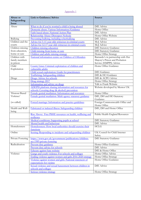#### Appendix 1

| Abuse or<br>Safeguarding<br><b>Issue</b> | <b>Link to Guidance/Advice</b>                                                     | Source                                         |
|------------------------------------------|------------------------------------------------------------------------------------|------------------------------------------------|
| Abuse                                    | What to do if you're worried a child is being abused                               | <b>DfE</b> Advice                              |
|                                          | Domestic abuse: Various Information/Guidance                                       | Home Office                                    |
|                                          | Faith based abuse: National Action Plan                                            | DfE Advice                                     |
|                                          | Relationship Abuse: Disrespect Nobody                                              | Home Office Website                            |
| Bullying                                 | Preventing bullying, including cyberbullying                                       | DfE Advice                                     |
| Children and the                         | Advice for 5-11 year olds witnesses in criminal courts                             | MoJ Advice                                     |
| courts                                   | Advice for 12-17 year olds witnesses in criminal courts                            | MoJ Advice                                     |
| Children missing                         | Children missing education                                                         | <b>DfE</b> Statutory Guidance                  |
| from education,                          | Child missing from home or care                                                    | <b>DfE</b> Statutory Guidance                  |
| home or care                             | Children and adults missing strategy                                               | Home Office Strategy                           |
| Children with                            | National information centre on Children of Offenders                               | Barnardo's in partnership with Her             |
| family members                           |                                                                                    | Majesty's Prison and Probation                 |
| in prison                                |                                                                                    | Service (HMPPS) Advice                         |
| Child<br>Exploitation                    | County Lines: Criminal exploitation of children and<br>vulnerable adults           | Home Office Guidance                           |
|                                          | Child sexual exploitation: Guide for practitioners                                 | <b>DfE</b> Guidance                            |
|                                          | Trafficking: Safeguarding children                                                 | DfE & HO Guidance                              |
| Drugs                                    | Drugs: Advice for schools                                                          | DfE & ACPO Advice                              |
|                                          | Drug strategy 2017                                                                 | Home Office Strategy                           |
|                                          | Information and advice on drugs                                                    | Talk to Frank Website                          |
|                                          | ADEPIS platform sharing information and resources for                              | Website developed by Mentor UK                 |
|                                          | schools: Covering drug (& alcohol) prevention                                      |                                                |
| 'Honour Based                            | Female genital mutilation: Information and resources                               | Home Office                                    |
| Violence'                                | Female genital mutilation: Multi agency statutory guidance                         | DfE, DH and HO Statutory                       |
|                                          |                                                                                    | Guidance                                       |
| (so called)                              | Forced marriage: Information and practice guidelines                               | Foreign Commonwealth Office and<br>Home Office |
| Health and Well-<br>being                | Fabricated or induced illness: Safeguarding children                               | DfE, DH and Home Office                        |
|                                          | Rise Above: Free PSHE resources on health, wellbeing and<br>resilience             | Public Health England Resources                |
|                                          | Medical conditions: Supporting pupils at school                                    | <b>DfE</b> Statutory Guidance                  |
|                                          | Mental health and behaviour                                                        | DfE Advice                                     |
| Homelessness                             | Homelessness: How local authorities should exercise their<br>functions             | <b>HCLG</b>                                    |
| Online                                   | Sexting: Responding to incidents and safeguarding children                         | UK Council for Child Internet<br>Safety        |
| Private Fostering                        | https://www.gov.uk/government/publications/children-<br>act-1989-private-fostering | <b>DfE</b> Statutory Guidance                  |
| Radicalisation                           | Prevent duty guidance                                                              | Home Office Guidance                           |
|                                          | Prevent duty advice for schools                                                    | <b>DfE</b> Advice                              |
|                                          | Educate against hate website                                                       | DfE & Home Office                              |
| Violence                                 | Gangs and youth violence: For schools and colleges                                 | Home Office Advice                             |
|                                          | Ending violence against women and girls 2016-2020 strategy                         | Home Office Strategy                           |
|                                          | Violence against women and girls: National statement of                            | Home Office Guidance                           |
|                                          | expectations for victims                                                           |                                                |
|                                          | Sexual violence and sexual harassment between children in                          | <b>DfE</b> Advice                              |
|                                          | schools and colleges                                                               |                                                |
|                                          | Serious violence strategy                                                          | Home Office Strategy                           |